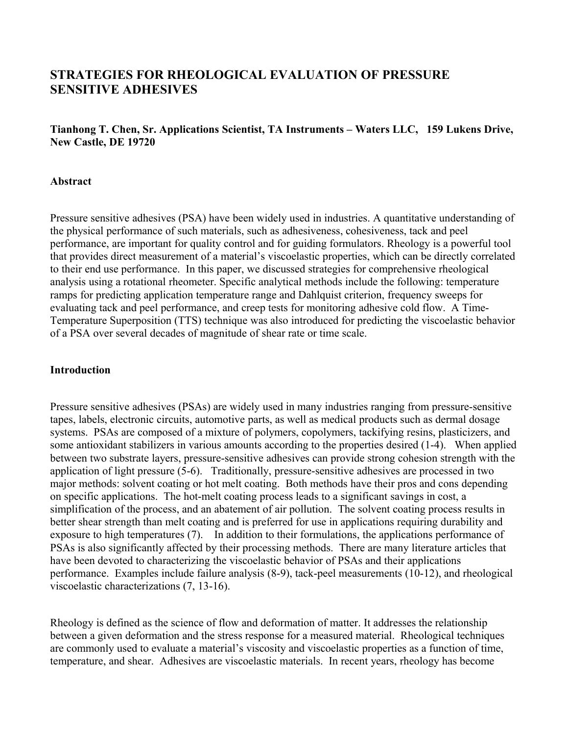# **STRATEGIES FOR RHEOLOGICAL EVALUATION OF PRESSURE SENSITIVE ADHESIVES**

**Tianhong T. Chen, Sr. Applications Scientist, TA Instruments – Waters LLC, 159 Lukens Drive, New Castle, DE 19720**

#### **Abstract**

Pressure sensitive adhesives (PSA) have been widely used in industries. A quantitative understanding of the physical performance of such materials, such as adhesiveness, cohesiveness, tack and peel performance, are important for quality control and for guiding formulators. Rheology is a powerful tool that provides direct measurement of a material's viscoelastic properties, which can be directly correlated to their end use performance. In this paper, we discussed strategies for comprehensive rheological analysis using a rotational rheometer. Specific analytical methods include the following: temperature ramps for predicting application temperature range and Dahlquist criterion, frequency sweeps for evaluating tack and peel performance, and creep tests for monitoring adhesive cold flow. A Time-Temperature Superposition (TTS) technique was also introduced for predicting the viscoelastic behavior of a PSA over several decades of magnitude of shear rate or time scale.

#### **Introduction**

Pressure sensitive adhesives (PSAs) are widely used in many industries ranging from pressure-sensitive tapes, labels, electronic circuits, automotive parts, as well as medical products such as dermal dosage systems. PSAs are composed of a mixture of polymers, copolymers, tackifying resins, plasticizers, and some antioxidant stabilizers in various amounts according to the properties desired (1-4). When applied between two substrate layers, pressure-sensitive adhesives can provide strong cohesion strength with the application of light pressure (5-6). Traditionally, pressure-sensitive adhesives are processed in two major methods: solvent coating or hot melt coating. Both methods have their pros and cons depending on specific applications. The hot-melt coating process leads to a significant savings in cost, a simplification of the process, and an abatement of air pollution. The solvent coating process results in better shear strength than melt coating and is preferred for use in applications requiring durability and exposure to high temperatures (7). In addition to their formulations, the applications performance of PSAs is also significantly affected by their processing methods. There are many literature articles that have been devoted to characterizing the viscoelastic behavior of PSAs and their applications performance. Examples include failure analysis (8-9), tack-peel measurements (10-12), and rheological viscoelastic characterizations (7, 13-16).

Rheology is defined as the science of flow and deformation of matter. It addresses the relationship between a given deformation and the stress response for a measured material. Rheological techniques are commonly used to evaluate a material's viscosity and viscoelastic properties as a function of time, temperature, and shear. Adhesives are viscoelastic materials. In recent years, rheology has become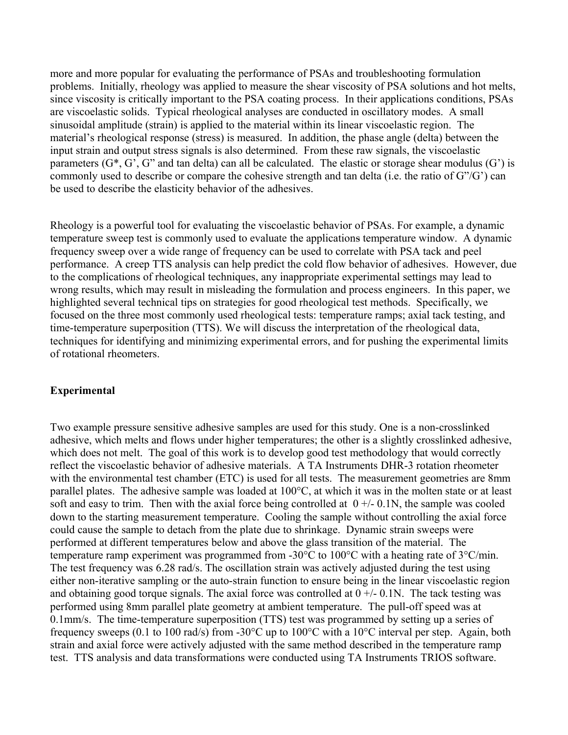more and more popular for evaluating the performance of PSAs and troubleshooting formulation problems. Initially, rheology was applied to measure the shear viscosity of PSA solutions and hot melts, since viscosity is critically important to the PSA coating process. In their applications conditions, PSAs are viscoelastic solids. Typical rheological analyses are conducted in oscillatory modes. A small sinusoidal amplitude (strain) is applied to the material within its linear viscoelastic region. The material's rheological response (stress) is measured. In addition, the phase angle (delta) between the input strain and output stress signals is also determined. From these raw signals, the viscoelastic parameters  $(G^*, G', G'$  and tan delta) can all be calculated. The elastic or storage shear modulus  $(G')$  is commonly used to describe or compare the cohesive strength and tan delta (i.e. the ratio of G"/G') can be used to describe the elasticity behavior of the adhesives.

Rheology is a powerful tool for evaluating the viscoelastic behavior of PSAs. For example, a dynamic temperature sweep test is commonly used to evaluate the applications temperature window. A dynamic frequency sweep over a wide range of frequency can be used to correlate with PSA tack and peel performance. A creep TTS analysis can help predict the cold flow behavior of adhesives. However, due to the complications of rheological techniques, any inappropriate experimental settings may lead to wrong results, which may result in misleading the formulation and process engineers. In this paper, we highlighted several technical tips on strategies for good rheological test methods. Specifically, we focused on the three most commonly used rheological tests: temperature ramps; axial tack testing, and time-temperature superposition (TTS). We will discuss the interpretation of the rheological data, techniques for identifying and minimizing experimental errors, and for pushing the experimental limits of rotational rheometers.

# **Experimental**

Two example pressure sensitive adhesive samples are used for this study. One is a non-crosslinked adhesive, which melts and flows under higher temperatures; the other is a slightly crosslinked adhesive, which does not melt. The goal of this work is to develop good test methodology that would correctly reflect the viscoelastic behavior of adhesive materials. A TA Instruments DHR-3 rotation rheometer with the environmental test chamber (ETC) is used for all tests. The measurement geometries are 8mm parallel plates. The adhesive sample was loaded at 100°C, at which it was in the molten state or at least soft and easy to trim. Then with the axial force being controlled at  $0 +/- 0.1$ N, the sample was cooled down to the starting measurement temperature. Cooling the sample without controlling the axial force could cause the sample to detach from the plate due to shrinkage. Dynamic strain sweeps were performed at different temperatures below and above the glass transition of the material. The temperature ramp experiment was programmed from -30°C to 100°C with a heating rate of 3°C/min. The test frequency was 6.28 rad/s. The oscillation strain was actively adjusted during the test using either non-iterative sampling or the auto-strain function to ensure being in the linear viscoelastic region and obtaining good torque signals. The axial force was controlled at  $0 +/- 0.1$ N. The tack testing was performed using 8mm parallel plate geometry at ambient temperature. The pull-off speed was at 0.1mm/s. The time-temperature superposition (TTS) test was programmed by setting up a series of frequency sweeps (0.1 to 100 rad/s) from -30°C up to 100°C with a 10°C interval per step. Again, both strain and axial force were actively adjusted with the same method described in the temperature ramp test. TTS analysis and data transformations were conducted using TA Instruments TRIOS software.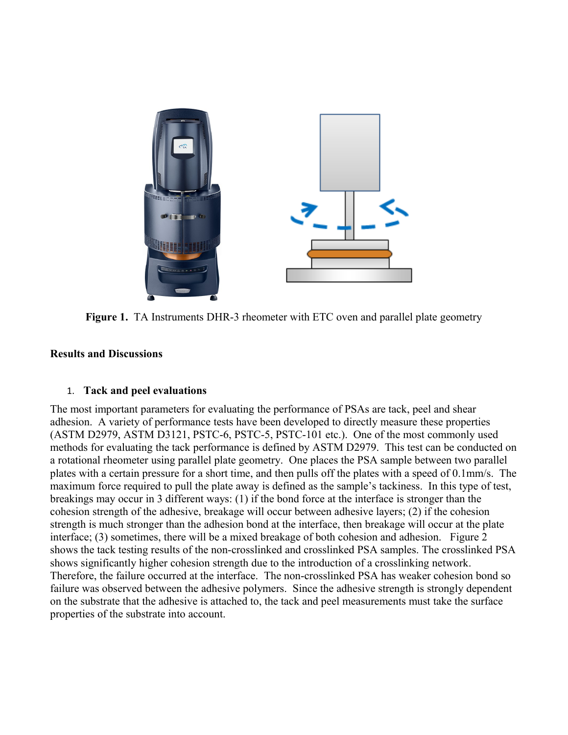

**Figure 1.** TA Instruments DHR-3 rheometer with ETC oven and parallel plate geometry

# **Results and Discussions**

# 1. **Tack and peel evaluations**

The most important parameters for evaluating the performance of PSAs are tack, peel and shear adhesion. A variety of performance tests have been developed to directly measure these properties (ASTM D2979, ASTM D3121, PSTC-6, PSTC-5, PSTC-101 etc.). One of the most commonly used methods for evaluating the tack performance is defined by ASTM D2979. This test can be conducted on a rotational rheometer using parallel plate geometry. One places the PSA sample between two parallel plates with a certain pressure for a short time, and then pulls off the plates with a speed of 0.1mm/s. The maximum force required to pull the plate away is defined as the sample's tackiness. In this type of test, breakings may occur in 3 different ways: (1) if the bond force at the interface is stronger than the cohesion strength of the adhesive, breakage will occur between adhesive layers; (2) if the cohesion strength is much stronger than the adhesion bond at the interface, then breakage will occur at the plate interface; (3) sometimes, there will be a mixed breakage of both cohesion and adhesion. Figure 2 shows the tack testing results of the non-crosslinked and crosslinked PSA samples. The crosslinked PSA shows significantly higher cohesion strength due to the introduction of a crosslinking network. Therefore, the failure occurred at the interface. The non-crosslinked PSA has weaker cohesion bond so failure was observed between the adhesive polymers. Since the adhesive strength is strongly dependent on the substrate that the adhesive is attached to, the tack and peel measurements must take the surface properties of the substrate into account.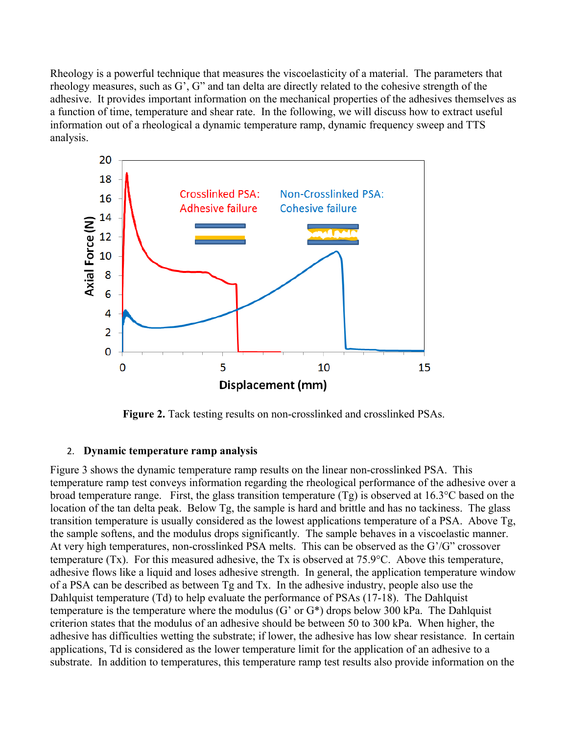Rheology is a powerful technique that measures the viscoelasticity of a material. The parameters that rheology measures, such as G', G" and tan delta are directly related to the cohesive strength of the adhesive. It provides important information on the mechanical properties of the adhesives themselves as a function of time, temperature and shear rate. In the following, we will discuss how to extract useful information out of a rheological a dynamic temperature ramp, dynamic frequency sweep and TTS analysis.



**Figure 2.** Tack testing results on non-crosslinked and crosslinked PSAs.

# 2. **Dynamic temperature ramp analysis**

Figure 3 shows the dynamic temperature ramp results on the linear non-crosslinked PSA. This temperature ramp test conveys information regarding the rheological performance of the adhesive over a broad temperature range. First, the glass transition temperature (Tg) is observed at 16.3°C based on the location of the tan delta peak. Below Tg, the sample is hard and brittle and has no tackiness. The glass transition temperature is usually considered as the lowest applications temperature of a PSA. Above Tg, the sample softens, and the modulus drops significantly. The sample behaves in a viscoelastic manner. At very high temperatures, non-crosslinked PSA melts. This can be observed as the G'/G" crossover temperature (Tx). For this measured adhesive, the Tx is observed at 75.9°C. Above this temperature, adhesive flows like a liquid and loses adhesive strength. In general, the application temperature window of a PSA can be described as between Tg and Tx. In the adhesive industry, people also use the Dahlquist temperature (Td) to help evaluate the performance of PSAs (17-18). The Dahlquist temperature is the temperature where the modulus (G' or G\*) drops below 300 kPa. The Dahlquist criterion states that the modulus of an adhesive should be between 50 to 300 kPa. When higher, the adhesive has difficulties wetting the substrate; if lower, the adhesive has low shear resistance. In certain applications, Td is considered as the lower temperature limit for the application of an adhesive to a substrate. In addition to temperatures, this temperature ramp test results also provide information on the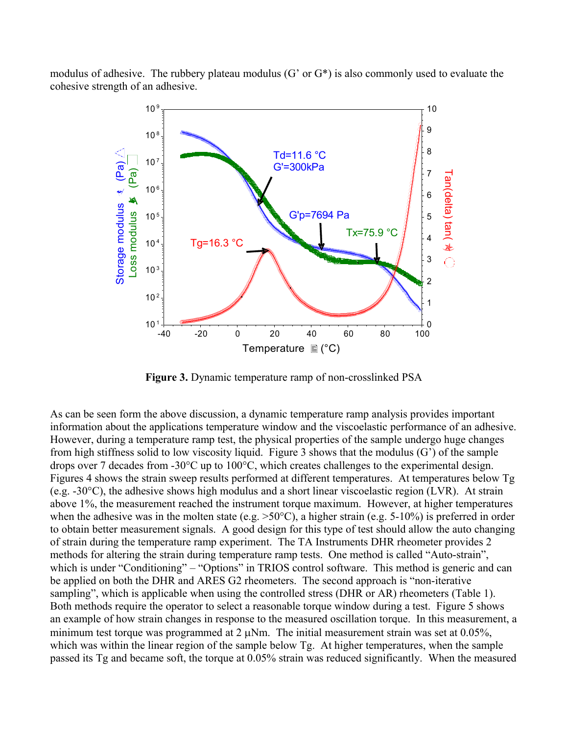modulus of adhesive. The rubbery plateau modulus (G' or G\*) is also commonly used to evaluate the cohesive strength of an adhesive.



**Figure 3.** Dynamic temperature ramp of non-crosslinked PSA

As can be seen form the above discussion, a dynamic temperature ramp analysis provides important information about the applications temperature window and the viscoelastic performance of an adhesive. However, during a temperature ramp test, the physical properties of the sample undergo huge changes from high stiffness solid to low viscosity liquid. Figure 3 shows that the modulus (G') of the sample drops over 7 decades from -30°C up to 100°C, which creates challenges to the experimental design. Figures 4 shows the strain sweep results performed at different temperatures. At temperatures below Tg (e.g. -30°C), the adhesive shows high modulus and a short linear viscoelastic region (LVR). At strain above 1%, the measurement reached the instrument torque maximum. However, at higher temperatures when the adhesive was in the molten state (e.g.  $>50^{\circ}$ C), a higher strain (e.g. 5-10%) is preferred in order to obtain better measurement signals. A good design for this type of test should allow the auto changing of strain during the temperature ramp experiment. The TA Instruments DHR rheometer provides 2 methods for altering the strain during temperature ramp tests. One method is called "Auto-strain", which is under "Conditioning" – "Options" in TRIOS control software. This method is generic and can be applied on both the DHR and ARES G2 rheometers. The second approach is "non-iterative sampling", which is applicable when using the controlled stress (DHR or AR) rheometers (Table 1). Both methods require the operator to select a reasonable torque window during a test. Figure 5 shows an example of how strain changes in response to the measured oscillation torque. In this measurement, a minimum test torque was programmed at  $2 \mu Nm$ . The initial measurement strain was set at 0.05%, which was within the linear region of the sample below Tg. At higher temperatures, when the sample passed its Tg and became soft, the torque at 0.05% strain was reduced significantly. When the measured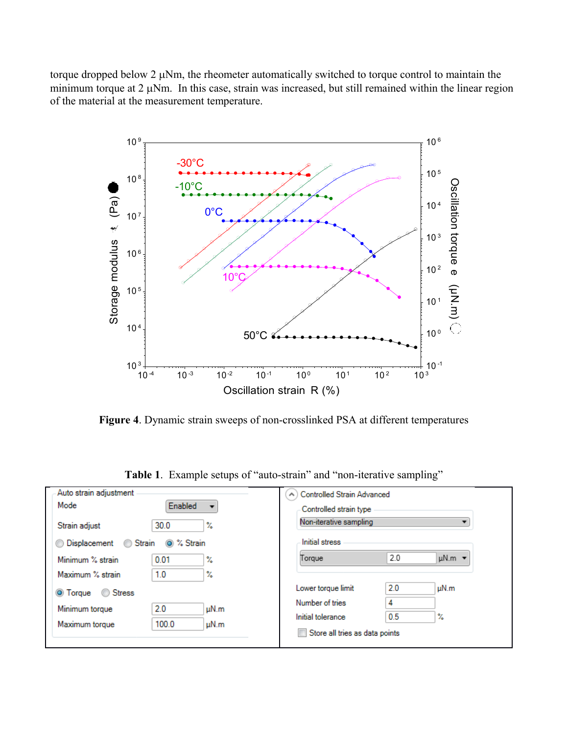torque dropped below  $2 \mu Nm$ , the rheometer automatically switched to torque control to maintain the minimum torque at  $2 \mu Nm$ . In this case, strain was increased, but still remained within the linear region of the material at the measurement temperature.



**Figure 4**. Dynamic strain sweeps of non-crosslinked PSA at different temperatures

| Auto strain adjustment |                                     | <b>Controlled Strain Advanced</b><br>$\left( \right)$ |     |                         |
|------------------------|-------------------------------------|-------------------------------------------------------|-----|-------------------------|
| Mode                   | Enabled<br>$\overline{\phantom{a}}$ | Controlled strain type                                |     |                         |
| Strain adjust          | 30.0<br>℀                           | Non-iterative sampling<br>▼                           |     |                         |
| Displacement           | t % Strain<br>Strain                | Initial stress                                        |     |                         |
| Minimum % strain       | 0.01<br>X.                          | Torque                                                | 2.0 | $\mu$ N.m $\rightarrow$ |
| Maximum % strain       | 1.0<br>X                            |                                                       |     |                         |
| ◎ Torque ◎ Stress      |                                     | Lower torque limit                                    | 2.0 | uN.m                    |
| Minimum torque         | 2.0<br>uN.m                         | Number of tries                                       | 4   |                         |
| Maximum torque         | 100.0<br>$\mu$ N.m                  | Initial tolerance                                     | 0.5 | X                       |
|                        |                                     | Store all tries as data points                        |     |                         |
|                        |                                     |                                                       |     |                         |

**Table 1**. Example setups of "auto-strain" and "non-iterative sampling"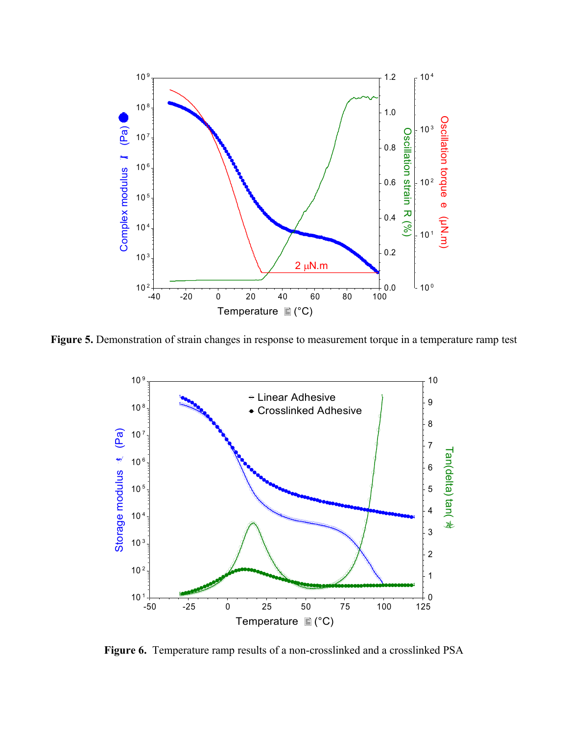

**Figure 5.** Demonstration of strain changes in response to measurement torque in a temperature ramp test



**Figure 6.** Temperature ramp results of a non-crosslinked and a crosslinked PSA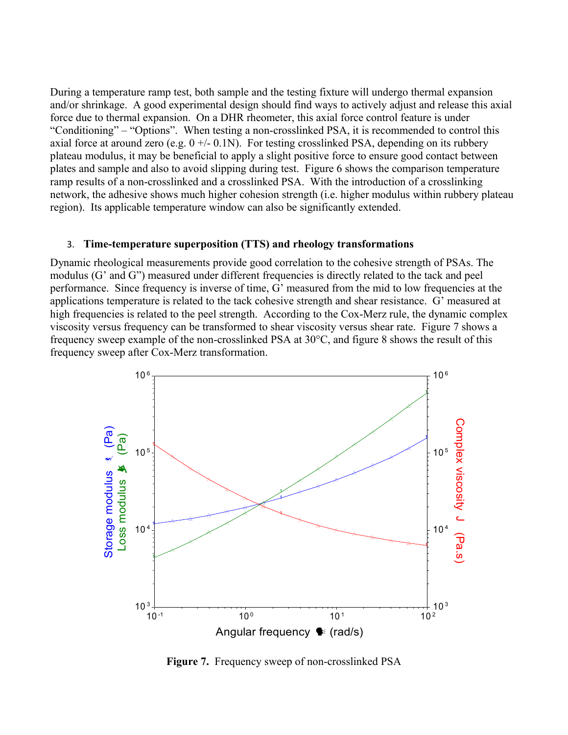During a temperature ramp test, both sample and the testing fixture will undergo thermal expansion and/or shrinkage. A good experimental design should find ways to actively adjust and release this axial force due to thermal expansion. On a DHR rheometer, this axial force control feature is under "Conditioning" – "Options". When testing a non-crosslinked PSA, it is recommended to control this axial force at around zero (e.g.  $0 +/- 0.1$ N). For testing crosslinked PSA, depending on its rubbery plateau modulus, it may be beneficial to apply a slight positive force to ensure good contact between plates and sample and also to avoid slipping during test. Figure 6 shows the comparison temperature ramp results of a non-crosslinked and a crosslinked PSA. With the introduction of a crosslinking network, the adhesive shows much higher cohesion strength (i.e. higher modulus within rubbery plateau region). Its applicable temperature window can also be significantly extended.

### 3. **Time-temperature superposition (TTS) and rheology transformations**

Dynamic rheological measurements provide good correlation to the cohesive strength of PSAs. The modulus (G' and G") measured under different frequencies is directly related to the tack and peel performance. Since frequency is inverse of time, G' measured from the mid to low frequencies at the applications temperature is related to the tack cohesive strength and shear resistance. G' measured at high frequencies is related to the peel strength. According to the Cox-Merz rule, the dynamic complex viscosity versus frequency can be transformed to shear viscosity versus shear rate. Figure 7 shows a frequency sweep example of the non-crosslinked PSA at 30°C, and figure 8 shows the result of this frequency sweep after Cox-Merz transformation.



**Figure 7.** Frequency sweep of non-crosslinked PSA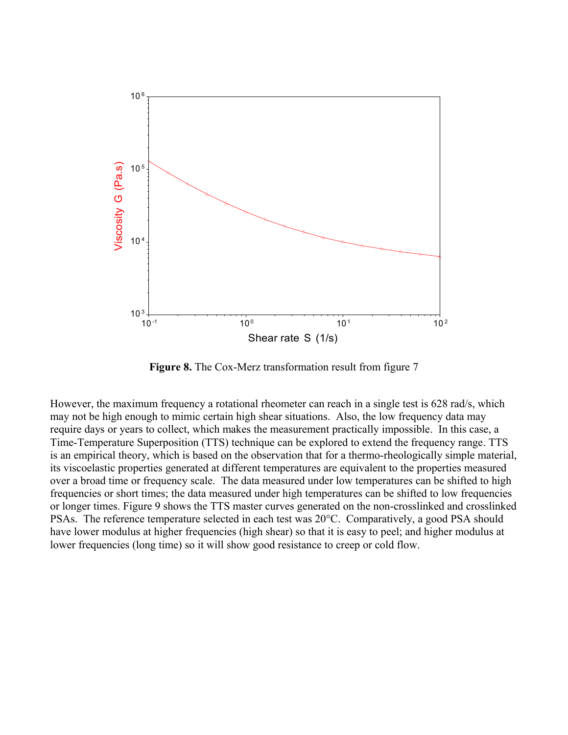

**Figure 8.** The Cox-Merz transformation result from figure 7

However, the maximum frequency a rotational rheometer can reach in a single test is 628 rad/s, which may not be high enough to mimic certain high shear situations. Also, the low frequency data may require days or years to collect, which makes the measurement practically impossible. In this case, a Time-Temperature Superposition (TTS) technique can be explored to extend the frequency range. TTS is an empirical theory, which is based on the observation that for a thermo-rheologically simple material, its viscoelastic properties generated at different temperatures are equivalent to the properties measured over a broad time or frequency scale. The data measured under low temperatures can be shifted to high frequencies or short times; the data measured under high temperatures can be shifted to low frequencies or longer times. Figure 9 shows the TTS master curves generated on the non-crosslinked and crosslinked PSAs. The reference temperature selected in each test was 20°C. Comparatively, a good PSA should have lower modulus at higher frequencies (high shear) so that it is easy to peel; and higher modulus at lower frequencies (long time) so it will show good resistance to creep or cold flow.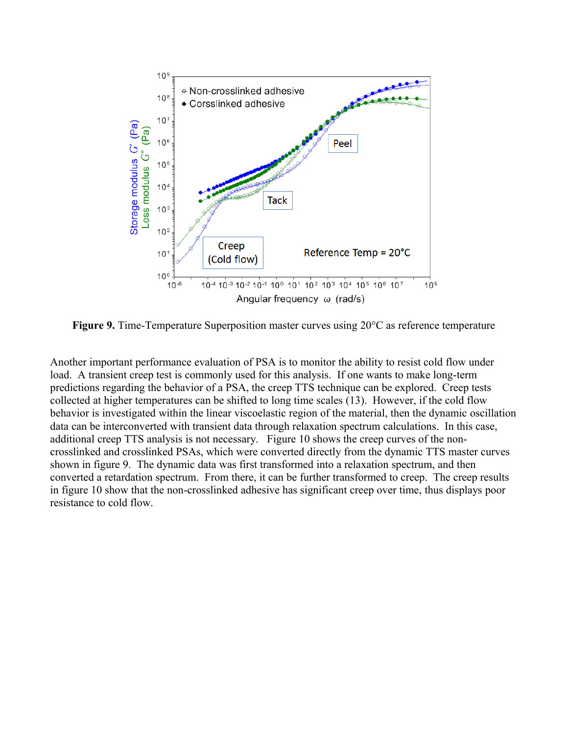

**Figure 9.** Time-Temperature Superposition master curves using 20°C as reference temperature

Another important performance evaluation of PSA is to monitor the ability to resist cold flow under load. A transient creep test is commonly used for this analysis. If one wants to make long-term predictions regarding the behavior of a PSA, the creep TTS technique can be explored. Creep tests collected at higher temperatures can be shifted to long time scales (13). However, if the cold flow behavior is investigated within the linear viscoelastic region of the material, then the dynamic oscillation data can be interconverted with transient data through relaxation spectrum calculations. In this case, additional creep TTS analysis is not necessary. Figure 10 shows the creep curves of the noncrosslinked and crosslinked PSAs, which were converted directly from the dynamic TTS master curves shown in figure 9. The dynamic data was first transformed into a relaxation spectrum, and then converted a retardation spectrum. From there, it can be further transformed to creep. The creep results in figure 10 show that the non-crosslinked adhesive has significant creep over time, thus displays poor resistance to cold flow.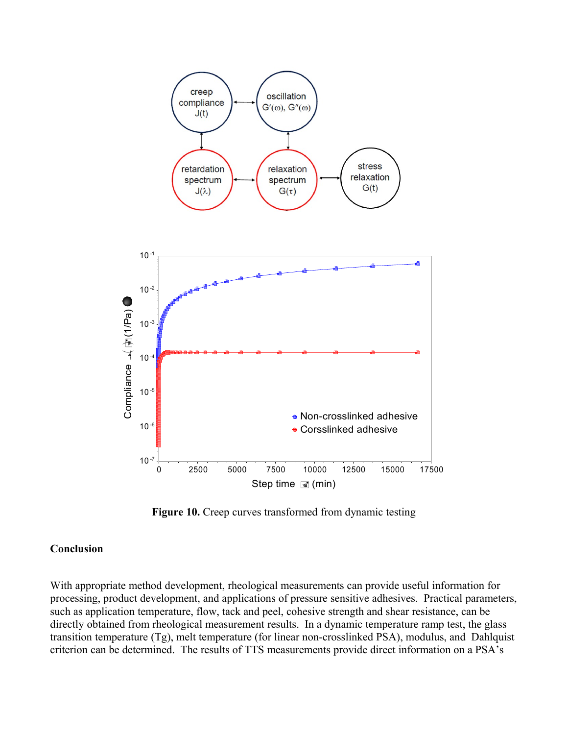

**Figure 10.** Creep curves transformed from dynamic testing

### **Conclusion**

With appropriate method development, rheological measurements can provide useful information for processing, product development, and applications of pressure sensitive adhesives. Practical parameters, such as application temperature, flow, tack and peel, cohesive strength and shear resistance, can be directly obtained from rheological measurement results. In a dynamic temperature ramp test, the glass transition temperature (Tg), melt temperature (for linear non-crosslinked PSA), modulus, and Dahlquist criterion can be determined. The results of TTS measurements provide direct information on a PSA's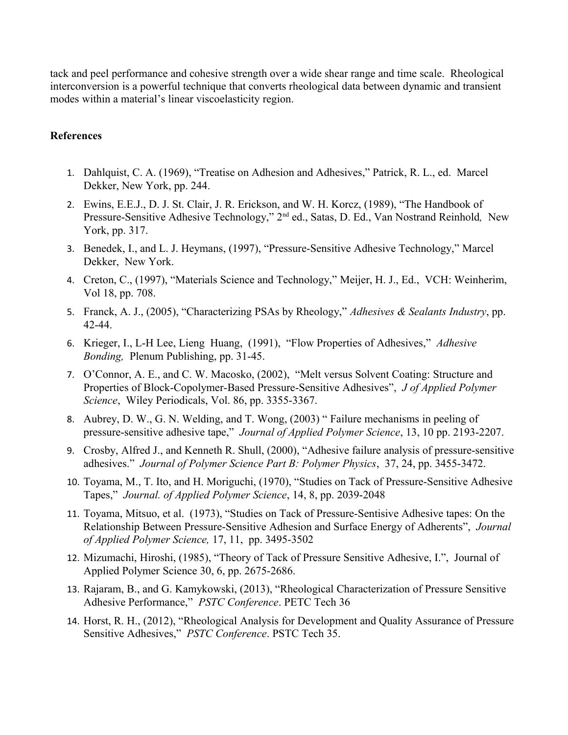tack and peel performance and cohesive strength over a wide shear range and time scale. Rheological interconversion is a powerful technique that converts rheological data between dynamic and transient modes within a material's linear viscoelasticity region.

# **References**

- 1. Dahlquist, C. A. (1969), "Treatise on Adhesion and Adhesives," Patrick, R. L., ed. Marcel Dekker, New York, pp. 244.
- 2. Ewins, E.E.J., D. J. St. Clair, J. R. Erickson, and W. H. Korcz, (1989), "The Handbook of Pressure-Sensitive Adhesive Technology," 2nd ed., Satas, D. Ed., Van Nostrand Reinhold*,* New York, pp. 317.
- 3. Benedek, I., and L. J. Heymans, (1997), "Pressure-Sensitive Adhesive Technology," Marcel Dekker, New York.
- 4. Creton, C., (1997), "Materials Science and Technology," Meijer, H. J., Ed., VCH: Weinherim, Vol 18, pp. 708.
- 5. Franck, A. J., (2005), "Characterizing PSAs by Rheology," *Adhesives & Sealants Industry*, pp. 42-44.
- 6. Krieger, I., L-H Lee, Lieng Huang, (1991), "Flow Properties of Adhesives," *Adhesive Bonding,* Plenum Publishing, pp. 31-45.
- 7. O'Connor, A. E., and C. W. Macosko, (2002), "Melt versus Solvent Coating: Structure and Properties of Block-Copolymer-Based Pressure-Sensitive Adhesives", *J of Applied Polymer Science*, Wiley Periodicals, Vol. 86, pp. 3355-3367.
- 8. Aubrey, D. W., G. N. Welding, and T. Wong, (2003) " Failure mechanisms in peeling of pressure-sensitive adhesive tape," *Journal of Applied Polymer Science*, 13, 10 pp. 2193-2207.
- 9. Crosby, Alfred J., and Kenneth R. Shull, (2000), "Adhesive failure analysis of pressure-sensitive adhesives." *Journal of Polymer Science Part B: Polymer Physics*, 37, 24, pp. 3455-3472.
- 10. Toyama, M., T. Ito, and H. Moriguchi, (1970), "Studies on Tack of Pressure-Sensitive Adhesive Tapes," *Journal. of Applied Polymer Science*, 14, 8, pp. 2039-2048
- 11. Toyama, Mitsuo, et al. (1973), "Studies on Tack of Pressure-Sentisive Adhesive tapes: On the Relationship Between Pressure-Sensitive Adhesion and Surface Energy of Adherents", *Journal of Applied Polymer Science,* 17, 11, pp. 3495-3502
- 12. Mizumachi, Hiroshi, (1985), "Theory of Tack of Pressure Sensitive Adhesive, I.", Journal of Applied Polymer Science 30, 6, pp. 2675-2686.
- 13. Rajaram, B., and G. Kamykowski, (2013), "Rheological Characterization of Pressure Sensitive Adhesive Performance," *PSTC Conference*. PETC Tech 36
- 14. Horst, R. H., (2012), "Rheological Analysis for Development and Quality Assurance of Pressure Sensitive Adhesives," *PSTC Conference*. PSTC Tech 35.